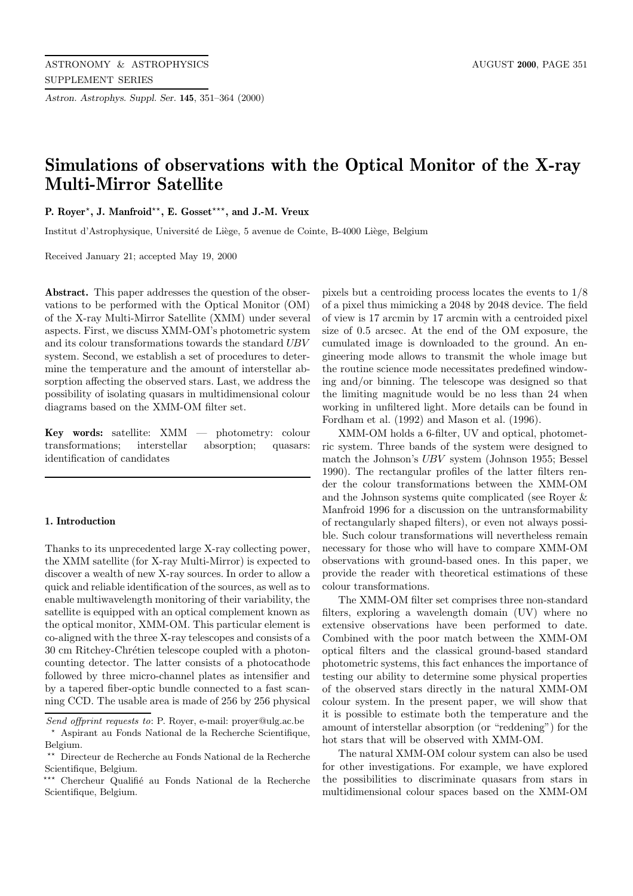*Astron. Astrophys. Suppl. Ser.* **145**, 351–364 (2000)

# **Simulations of observations with the Optical Monitor of the X-ray Multi-Mirror Satellite**

**P. Royer**?**, J. Manfroid**??**, E. Gosset**???**, and J.-M. Vreux**

Institut d'Astrophysique, Université de Liège, 5 avenue de Cointe, B-4000 Liège, Belgium

Received January 21; accepted May 19, 2000

**Abstract.** This paper addresses the question of the observations to be performed with the Optical Monitor (OM) of the X-ray Multi-Mirror Satellite (XMM) under several aspects. First, we discuss XMM-OM's photometric system and its colour transformations towards the standard UBV system. Second, we establish a set of procedures to determine the temperature and the amount of interstellar absorption affecting the observed stars. Last, we address the possibility of isolating quasars in multidimensional colour diagrams based on the XMM-OM filter set.

**Key words:** satellite: XMM — photometry: colour transformations; interstellar absorption; quasars: identification of candidates

# **1. Introduction**

Thanks to its unprecedented large X-ray collecting power, the XMM satellite (for X-ray Multi-Mirror) is expected to discover a wealth of new X-ray sources. In order to allow a quick and reliable identification of the sources, as well as to enable multiwavelength monitoring of their variability, the satellite is equipped with an optical complement known as the optical monitor, XMM-OM. This particular element is co-aligned with the three X-ray telescopes and consists of a 30 cm Ritchey-Chrétien telescope coupled with a photoncounting detector. The latter consists of a photocathode followed by three micro-channel plates as intensifier and by a tapered fiber-optic bundle connected to a fast scanning CCD. The usable area is made of 256 by 256 physical

pixels but a centroiding process locates the events to 1/8 of a pixel thus mimicking a 2048 by 2048 device. The field of view is 17 arcmin by 17 arcmin with a centroided pixel size of 0.5 arcsec. At the end of the OM exposure, the cumulated image is downloaded to the ground. An engineering mode allows to transmit the whole image but the routine science mode necessitates predefined windowing and/or binning. The telescope was designed so that the limiting magnitude would be no less than 24 when working in unfiltered light. More details can be found in Fordham et al. (1992) and Mason et al. (1996).

XMM-OM holds a 6-filter, UV and optical, photometric system. Three bands of the system were designed to match the Johnson's UBV system (Johnson 1955; Bessel 1990). The rectangular profiles of the latter filters render the colour transformations between the XMM-OM and the Johnson systems quite complicated (see Royer & Manfroid 1996 for a discussion on the untransformability of rectangularly shaped filters), or even not always possible. Such colour transformations will nevertheless remain necessary for those who will have to compare XMM-OM observations with ground-based ones. In this paper, we provide the reader with theoretical estimations of these colour transformations.

The XMM-OM filter set comprises three non-standard filters, exploring a wavelength domain (UV) where no extensive observations have been performed to date. Combined with the poor match between the XMM-OM optical filters and the classical ground-based standard photometric systems, this fact enhances the importance of testing our ability to determine some physical properties of the observed stars directly in the natural XMM-OM colour system. In the present paper, we will show that it is possible to estimate both the temperature and the amount of interstellar absorption (or "reddening") for the hot stars that will be observed with XMM-OM.

The natural XMM-OM colour system can also be used for other investigations. For example, we have explored the possibilities to discriminate quasars from stars in multidimensional colour spaces based on the XMM-OM

Send offprint requests to: P. Royer, e-mail: proyer@ulg.ac.be

<sup>?</sup> Aspirant au Fonds National de la Recherche Scientifique, Belgium.

 $^{\star\star}~$  Directeur de Recherche au Fonds National de la Recherche Scientifique, Belgium.

<sup>\*\*\*</sup> Chercheur Qualifié au Fonds National de la Recherche Scientifique, Belgium.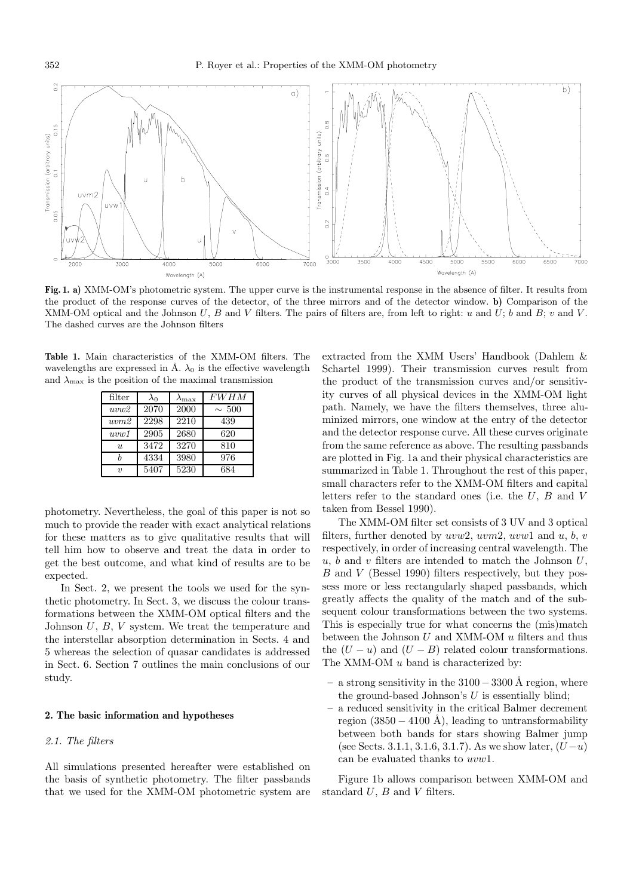

**Fig. 1. a)** XMM-OM's photometric system. The upper curve is the instrumental response in the absence of filter. It results from the product of the response curves of the detector, of the three mirrors and of the detector window. **b)** Comparison of the XMM-OM optical and the Johnson U, B and V filters. The pairs of filters are, from left to right: u and U; b and B; v and V. The dashed curves are the Johnson filters

**Table 1.** Main characteristics of the XMM-OM filters. The wavelengths are expressed in Å.  $\lambda_0$  is the effective wavelength and  $\lambda_{\text{max}}$  is the position of the maximal transmission

| filter | $\lambda$ o | $\lambda_{\rm max}$ | <b>FWHM</b> |
|--------|-------------|---------------------|-------------|
| uvw2   | 2070        | 2000                | $\sim 500$  |
| uvw2   | 2298        | 2210                | 439         |
| uvw1   | 2905        | 2680                | 620         |
| u      | 3472        | 3270                | 810         |
|        | 4334        | 3980                | 976         |
| $\eta$ | 5407        | 5230                | 684         |

photometry. Nevertheless, the goal of this paper is not so much to provide the reader with exact analytical relations for these matters as to give qualitative results that will tell him how to observe and treat the data in order to get the best outcome, and what kind of results are to be expected.

In Sect. 2, we present the tools we used for the synthetic photometry. In Sect. 3, we discuss the colour transformations between the XMM-OM optical filters and the Johnson U, B, V system. We treat the temperature and the interstellar absorption determination in Sects. 4 and 5 whereas the selection of quasar candidates is addressed in Sect. 6. Section 7 outlines the main conclusions of our study.

#### **2. The basic information and hypotheses**

# 2.1. The filters

All simulations presented hereafter were established on the basis of synthetic photometry. The filter passbands that we used for the XMM-OM photometric system are extracted from the XMM Users' Handbook (Dahlem & Schartel 1999). Their transmission curves result from the product of the transmission curves and/or sensitivity curves of all physical devices in the XMM-OM light path. Namely, we have the filters themselves, three aluminized mirrors, one window at the entry of the detector and the detector response curve. All these curves originate from the same reference as above. The resulting passbands are plotted in Fig. 1a and their physical characteristics are summarized in Table 1. Throughout the rest of this paper, small characters refer to the XMM-OM filters and capital letters refer to the standard ones (i.e. the U, B and V taken from Bessel 1990).

The XMM-OM filter set consists of 3 UV and 3 optical filters, further denoted by  $uvw2, uvm2, uvw1$  and  $u, b, v$ respectively, in order of increasing central wavelength. The  $u, b$  and v filters are intended to match the Johnson  $U$ , B and V (Bessel 1990) filters respectively, but they possess more or less rectangularly shaped passbands, which greatly affects the quality of the match and of the subsequent colour transformations between the two systems. This is especially true for what concerns the (mis)match between the Johnson  $U$  and XMM-OM  $\boldsymbol{u}$  filters and thus the  $(U - u)$  and  $(U - B)$  related colour transformations. The XMM-OM  $u$  band is characterized by:

- **–** a strong sensitivity in the 3100−<sup>3300</sup> ˚A region, where the ground-based Johnson's  $U$  is essentially blind;
- **–** a reduced sensitivity in the critical Balmer decrement region  $(3850 - 4100 \text{ Å})$ , leading to untransformability between both bands for stars showing Balmer jump (see Sects. 3.1.1, 3.1.6, 3.1.7). As we show later,  $(U - u)$ can be evaluated thanks to uvw1.

Figure 1b allows comparison between XMM-OM and standard  $U$ ,  $B$  and  $V$  filters.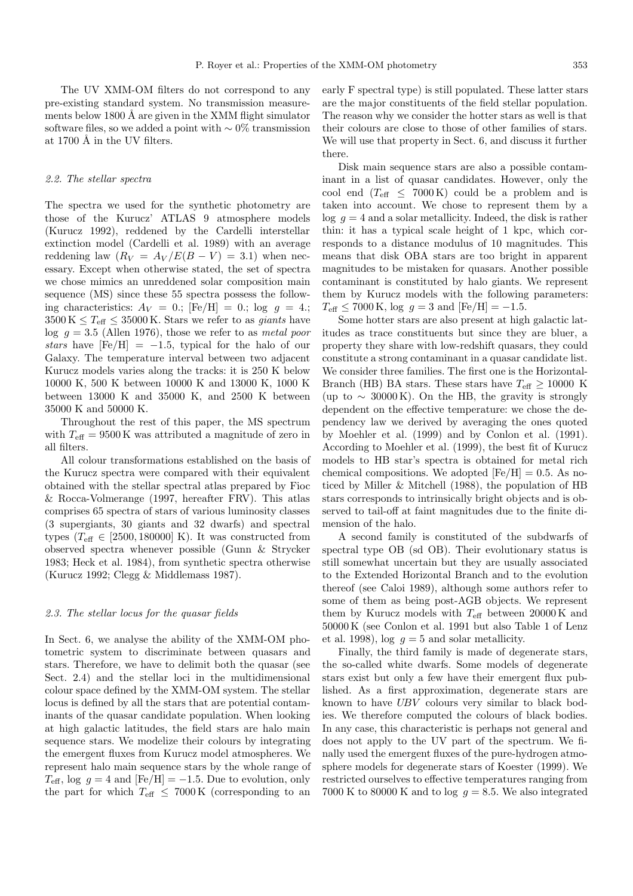The UV XMM-OM filters do not correspond to any pre-existing standard system. No transmission measurements below 1800  $\AA$  are given in the XMM flight simulator software files, so we added a point with  $\sim$  0% transmission at 1700 Å in the UV filters.

#### 2.2. The stellar spectra

The spectra we used for the synthetic photometry are those of the Kurucz' ATLAS 9 atmosphere models (Kurucz 1992), reddened by the Cardelli interstellar extinction model (Cardelli et al. 1989) with an average reddening law  $(R_V = A_V / E(B - V) = 3.1)$  when necessary. Except when otherwise stated, the set of spectra we chose mimics an unreddened solar composition main sequence (MS) since these 55 spectra possess the following characteristics:  $A_V = 0$ .; [Fe/H] = 0.; log  $q = 4$ .;  $3500 \,\mathrm{K} \leq T_{\text{eff}} \leq 35000 \,\mathrm{K}$ . Stars we refer to as *giants* have  $\log q = 3.5$  (Allen 1976), those we refer to as metal poor stars have  $[Fe/H] = -1.5$ , typical for the halo of our Galaxy. The temperature interval between two adjacent Kurucz models varies along the tracks: it is 250 K below 10000 K, 500 K between 10000 K and 13000 K, 1000 K between 13000 K and 35000 K, and 2500 K between 35000 K and 50000 K.

Throughout the rest of this paper, the MS spectrum with  $T_{\text{eff}} = 9500 \,\text{K}$  was attributed a magnitude of zero in all filters.

All colour transformations established on the basis of the Kurucz spectra were compared with their equivalent obtained with the stellar spectral atlas prepared by Fioc & Rocca-Volmerange (1997, hereafter FRV). This atlas comprises 65 spectra of stars of various luminosity classes (3 supergiants, 30 giants and 32 dwarfs) and spectral types ( $T_{\text{eff}} \in [2500, 180000]$  K). It was constructed from observed spectra whenever possible (Gunn & Strycker 1983; Heck et al. 1984), from synthetic spectra otherwise (Kurucz 1992; Clegg & Middlemass 1987).

# 2.3. The stellar locus for the quasar fields

In Sect. 6, we analyse the ability of the XMM-OM photometric system to discriminate between quasars and stars. Therefore, we have to delimit both the quasar (see Sect. 2.4) and the stellar loci in the multidimensional colour space defined by the XMM-OM system. The stellar locus is defined by all the stars that are potential contaminants of the quasar candidate population. When looking at high galactic latitudes, the field stars are halo main sequence stars. We modelize their colours by integrating the emergent fluxes from Kurucz model atmospheres. We represent halo main sequence stars by the whole range of  $T_{\text{eff}}$ , log  $q = 4$  and  $[Fe/H] = -1.5$ . Due to evolution, only the part for which  $T_{\text{eff}} \leq 7000 \,\text{K}$  (corresponding to an

early F spectral type) is still populated. These latter stars are the major constituents of the field stellar population. The reason why we consider the hotter stars as well is that their colours are close to those of other families of stars. We will use that property in Sect. 6, and discuss it further there.

Disk main sequence stars are also a possible contaminant in a list of quasar candidates. However, only the cool end  $(T_{\text{eff}} \leq 7000 \text{ K})$  could be a problem and is taken into account. We chose to represent them by a  $\log q = 4$  and a solar metallicity. Indeed, the disk is rather thin: it has a typical scale height of 1 kpc, which corresponds to a distance modulus of 10 magnitudes. This means that disk OBA stars are too bright in apparent magnitudes to be mistaken for quasars. Another possible contaminant is constituted by halo giants. We represent them by Kurucz models with the following parameters:  $T_{\text{eff}} \leq 7000 \text{ K}$ , log  $g = 3$  and  $[\text{Fe/H}] = -1.5$ .

Some hotter stars are also present at high galactic latitudes as trace constituents but since they are bluer, a property they share with low-redshift quasars, they could constitute a strong contaminant in a quasar candidate list. We consider three families. The first one is the Horizontal-Branch (HB) BA stars. These stars have  $T_{\text{eff}} \geq 10000$  K (up to  $\sim 30000 \text{ K}$ ). On the HB, the gravity is strongly dependent on the effective temperature: we chose the dependency law we derived by averaging the ones quoted by Moehler et al. (1999) and by Conlon et al. (1991). According to Moehler et al. (1999), the best fit of Kurucz models to HB star's spectra is obtained for metal rich chemical compositions. We adopted  $[Fe/H] = 0.5$ . As noticed by Miller & Mitchell (1988), the population of HB stars corresponds to intrinsically bright objects and is observed to tail-off at faint magnitudes due to the finite dimension of the halo.

A second family is constituted of the subdwarfs of spectral type OB (sd OB). Their evolutionary status is still somewhat uncertain but they are usually associated to the Extended Horizontal Branch and to the evolution thereof (see Caloi 1989), although some authors refer to some of them as being post-AGB objects. We represent them by Kurucz models with  $T_{\text{eff}}$  between 20000 K and 50000 K (see Conlon et al. 1991 but also Table 1 of Lenz et al. 1998), log  $q = 5$  and solar metallicity.

Finally, the third family is made of degenerate stars, the so-called white dwarfs. Some models of degenerate stars exist but only a few have their emergent flux published. As a first approximation, degenerate stars are known to have UBV colours very similar to black bodies. We therefore computed the colours of black bodies. In any case, this characteristic is perhaps not general and does not apply to the UV part of the spectrum. We finally used the emergent fluxes of the pure-hydrogen atmosphere models for degenerate stars of Koester (1999). We restricted ourselves to effective temperatures ranging from 7000 K to 80000 K and to log  $q = 8.5$ . We also integrated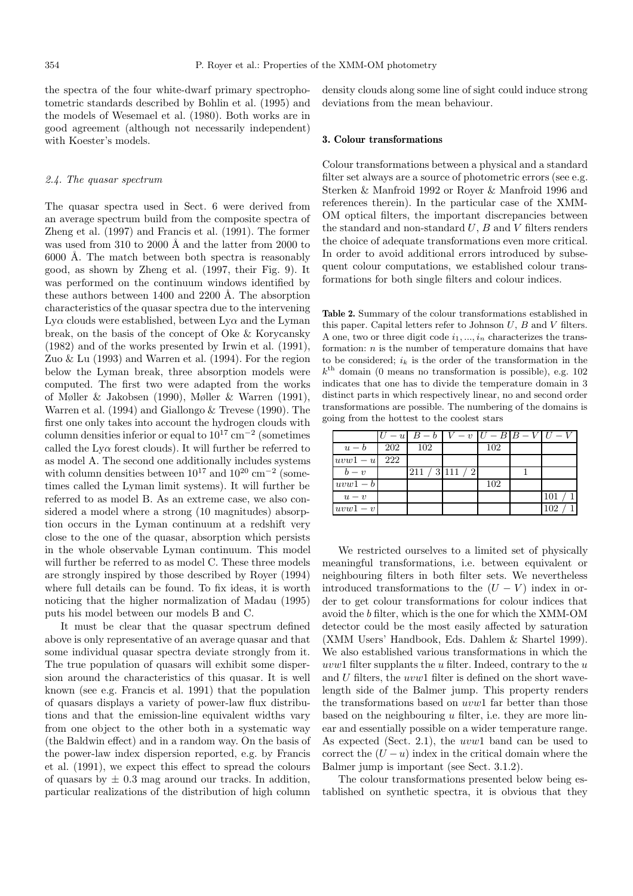the spectra of the four white-dwarf primary spectrophotometric standards described by Bohlin et al. (1995) and the models of Wesemael et al. (1980). Both works are in good agreement (although not necessarily independent) with Koester's models.

#### 2.4. The quasar spectrum

The quasar spectra used in Sect. 6 were derived from an average spectrum build from the composite spectra of Zheng et al. (1997) and Francis et al. (1991). The former was used from  $310$  to  $2000$  Å and the latter from  $2000$  to  $6000$  Å. The match between both spectra is reasonably good, as shown by Zheng et al. (1997, their Fig. 9). It was performed on the continuum windows identified by these authors between  $1400$  and  $2200$  Å. The absorption characteristics of the quasar spectra due to the intervening  $Ly\alpha$  clouds were established, between  $Ly\alpha$  and the Lyman break, on the basis of the concept of Oke & Korycansky (1982) and of the works presented by Irwin et al. (1991), Zuo & Lu (1993) and Warren et al. (1994). For the region below the Lyman break, three absorption models were computed. The first two were adapted from the works of Møller & Jakobsen (1990), Møller & Warren (1991), Warren et al. (1994) and Giallongo & Trevese (1990). The first one only takes into account the hydrogen clouds with column densities inferior or equal to  $10^{17}$  cm<sup>-2</sup> (sometimes called the  $Ly\alpha$  forest clouds). It will further be referred to as model A. The second one additionally includes systems with column densities between  $10^{17}$  and  $10^{20}$  cm<sup>-2</sup> (sometimes called the Lyman limit systems). It will further be referred to as model B. As an extreme case, we also considered a model where a strong (10 magnitudes) absorption occurs in the Lyman continuum at a redshift very close to the one of the quasar, absorption which persists in the whole observable Lyman continuum. This model will further be referred to as model C. These three models are strongly inspired by those described by Royer (1994) where full details can be found. To fix ideas, it is worth noticing that the higher normalization of Madau (1995) puts his model between our models B and C.

It must be clear that the quasar spectrum defined above is only representative of an average quasar and that some individual quasar spectra deviate strongly from it. The true population of quasars will exhibit some dispersion around the characteristics of this quasar. It is well known (see e.g. Francis et al. 1991) that the population of quasars displays a variety of power-law flux distributions and that the emission-line equivalent widths vary from one object to the other both in a systematic way (the Baldwin effect) and in a random way. On the basis of the power-law index dispersion reported, e.g. by Francis et al. (1991), we expect this effect to spread the colours of quasars by  $\pm$  0.3 mag around our tracks. In addition, particular realizations of the distribution of high column

density clouds along some line of sight could induce strong deviations from the mean behaviour.

#### **3. Colour transformations**

Colour transformations between a physical and a standard filter set always are a source of photometric errors (see e.g. Sterken & Manfroid 1992 or Royer & Manfroid 1996 and references therein). In the particular case of the XMM-OM optical filters, the important discrepancies between the standard and non-standard  $U, B$  and  $V$  filters renders the choice of adequate transformations even more critical. In order to avoid additional errors introduced by subsequent colour computations, we established colour transformations for both single filters and colour indices.

**Table 2.** Summary of the colour transformations established in this paper. Capital letters refer to Johnson  $U, B$  and  $V$  filters. A one, two or three digit code  $i_1, ..., i_n$  characterizes the transformation:  $n$  is the number of temperature domains that have to be considered;  $i_k$  is the order of the transformation in the  $k<sup>th</sup>$  domain (0 means no transformation is possible), e.g. 102 indicates that one has to divide the temperature domain in 3 distinct parts in which respectively linear, no and second order transformations are possible. The numbering of the domains is going from the hottest to the coolest stars

|          |     | $U - u   B - b   V - v   U - B   B - V   U - V$ |                |     |     |
|----------|-----|-------------------------------------------------|----------------|-----|-----|
| $u-b$    | 202 | 102                                             |                | 102 |     |
| $uvw1-u$ | 222 |                                                 |                |     |     |
| $b-v$    |     |                                                 | 211 / 3111 / 2 |     |     |
| $uvw1-b$ |     |                                                 |                | 102 |     |
| $u-v$    |     |                                                 |                |     | 101 |
| $uvw1-v$ |     |                                                 |                |     | 102 |

We restricted ourselves to a limited set of physically meaningful transformations, i.e. between equivalent or neighbouring filters in both filter sets. We nevertheless introduced transformations to the  $(U - V)$  index in order to get colour transformations for colour indices that avoid the b filter, which is the one for which the XMM-OM detector could be the most easily affected by saturation (XMM Users' Handbook, Eds. Dahlem & Shartel 1999). We also established various transformations in which the uvw1 filter supplants the  $u$  filter. Indeed, contrary to the  $u$ and U filters, the uvw1 filter is defined on the short wavelength side of the Balmer jump. This property renders the transformations based on uvw1 far better than those based on the neighbouring  $u$  filter, i.e. they are more linear and essentially possible on a wider temperature range. As expected (Sect. 2.1), the uvw1 band can be used to correct the  $(U - u)$  index in the critical domain where the Balmer jump is important (see Sect. 3.1.2).

The colour transformations presented below being established on synthetic spectra, it is obvious that they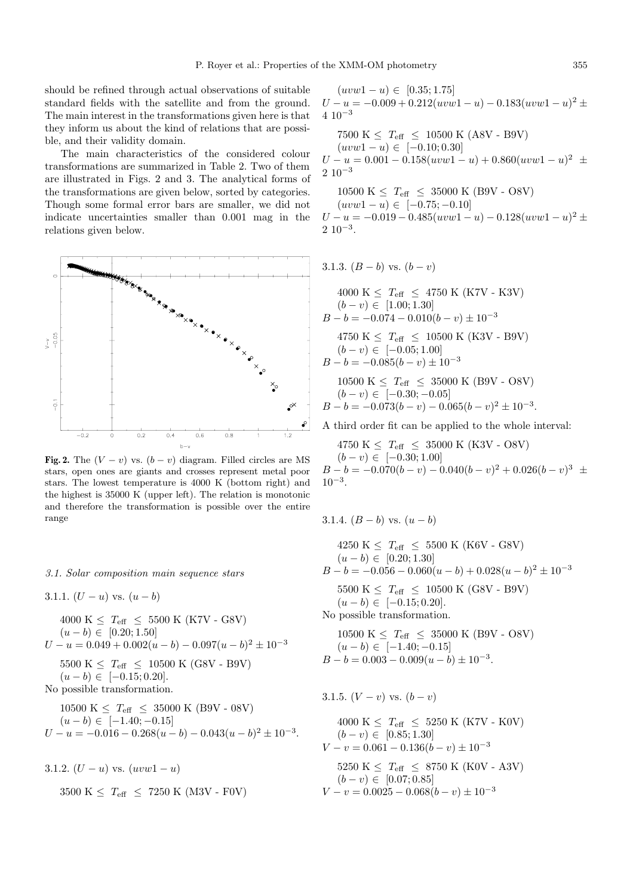should be refined through actual observations of suitable standard fields with the satellite and from the ground. The main interest in the transformations given here is that they inform us about the kind of relations that are possible, and their validity domain.

The main characteristics of the considered colour transformations are summarized in Table 2. Two of them are illustrated in Figs. 2 and 3. The analytical forms of the transformations are given below, sorted by categories. Though some formal error bars are smaller, we did not indicate uncertainties smaller than 0.001 mag in the relations given below.



**Fig. 2.** The  $(V - v)$  vs.  $(b - v)$  diagram. Filled circles are MS stars, open ones are giants and crosses represent metal poor stars. The lowest temperature is 4000 K (bottom right) and the highest is 35000 K (upper left). The relation is monotonic and therefore the transformation is possible over the entire range

3.1. Solar composition main sequence stars

3.1.1.  $(U - u)$  vs.  $(u - b)$ 

$$
4000 \text{ K} \leq T_{\text{eff}} \leq 5500 \text{ K (K7V - G8V)}
$$
  
\n
$$
(u - b) \in [0.20; 1.50]
$$
  
\n
$$
U - u = 0.049 + 0.002(u - b) - 0.097(u - b)^2 \pm 10^{-3}
$$
  
\n
$$
5500 \text{ K} \leq T_{\text{eff}} \leq 10500 \text{ K (G8V - B9V)}
$$
  
\n
$$
(u - b) \in [-0.15; 0.20].
$$
  
\nNo possible transformation.

$$
10500 \text{ K} \le T_{\text{eff}} \le 35000 \text{ K} \ (B9\text{V} - 08\text{V})
$$
  
( $u - b$ )  $\in$  [-1.40; -0.15]  
 $U - u = -0.016 - 0.268(u - b) - 0.043(u - b)^2 \pm 10^{-3}$ .

3.1.2. 
$$
(U - u)
$$
 vs.  $(uvw1 - u)$   
3500 K  $\leq$  T<sub>eff</sub>  $\leq$  7250 K (M3V - FOV)

 $(uvw1-u) \in [0.35;1.75]$  $U - u = -0.009 + 0.212(uvw1 - u) - 0.183(uvw1 - u)^2$  ±  $4 \cdot 10^{-3}$ 

7500 K  $\leq T_{\text{eff}} \leq 10500$  K (A8V - B9V)  $(uvw1-u) \in [-0.10; 0.30]$  $U - u = 0.001 - 0.158(uvw1 - u) + 0.860(uvw1 - u)^2$  ±  $2\ 10^{-3}$ 

10500 K  $\leq T_{\text{eff}} \leq 35000$  K (B9V - O8V)  $(uvw1-u) \in [-0.75; -0.10]$  $U - u = -0.019 - 0.485(uvw1 - u) - 0.128(uvw1 - u)^2$  $2 \ 10^{-3}$ .

3.1.3. 
$$
(B - b)
$$
 vs.  $(b - v)$ 

$$
4000 \text{ K} \leq T_{\text{eff}} \leq 4750 \text{ K (K7V - K3V)}
$$
  
\n
$$
(b - v) \in [1.00; 1.30]
$$
  
\n
$$
B - b = -0.074 - 0.010(b - v) \pm 10^{-3}
$$
  
\n
$$
4750 \text{ K} \leq T_{\text{eff}} \leq 10500 \text{ K (K3V - B9V)}
$$
  
\n
$$
(b - v) \in [-0.05; 1.00]
$$
  
\n
$$
B - b = -0.085(b - v) \pm 10^{-3}
$$
  
\n
$$
10500 \text{ K} \leq T_{\text{eff}} \leq 35000 \text{ K (B9V - OSV)}
$$
  
\n
$$
(b - v) \in [-0.30; -0.05]
$$
  
\n
$$
B - b = -0.073(b - v) - 0.065(b - v)^{2} \pm 10^{-3}.
$$

A third order fit can be applied to the whole interval:

4750 K  $\leq T_{\text{eff}} \leq 35000 \text{ K}$  (K3V - O8V)  $(b - v) \in [-0.30; 1.00]$  $B - b = -0.070(b - v) - 0.040(b - v)^{2} + 0.026(b - v)^{3} \pm$  $10^{-3}$ .

3.1.4.  $(B - b)$  vs.  $(u - b)$ 

$$
4250 \text{ K} \leq T_{\text{eff}} \leq 5500 \text{ K (K6V - G8V)}
$$
  
\n
$$
(u - b) \in [0.20; 1.30]
$$
  
\n
$$
B - b = -0.056 - 0.060(u - b) + 0.028(u - b)^2 \pm 10^{-3}
$$
  
\n
$$
5500 \text{ K} \leq T_{\text{eff}} \leq 10500 \text{ K (G8V - B9V)}
$$
  
\n
$$
(u - b) \in [-0.15; 0.20].
$$
  
\nNo possible transformation.  
\n
$$
10500 \text{ K} \leq T_{\text{eff}} \leq 35000 \text{ K (B9V - OSV)}
$$

$$
(u - b) \in [-1.40; -0.15]
$$
  
B - b = 0.003 - 0.009(u - b) \pm 10<sup>-3</sup>.

3.1.5.  $(V - v)$  vs.  $(b - v)$ 

$$
4000 \text{ K} \leq T_{\text{eff}} \leq 5250 \text{ K (K7V - KOV)}
$$
  
\n
$$
(b - v) \in [0.85; 1.30]
$$
  
\n
$$
V - v = 0.061 - 0.136(b - v) \pm 10^{-3}
$$
  
\n
$$
5250 \text{ K} \leq T_{\text{eff}} \leq 8750 \text{ K (K0V - A3V)}
$$
  
\n
$$
(b - v) \in [0.07; 0.85]
$$
  
\n
$$
V - v = 0.0025 - 0.068(b - v) \pm 10^{-3}
$$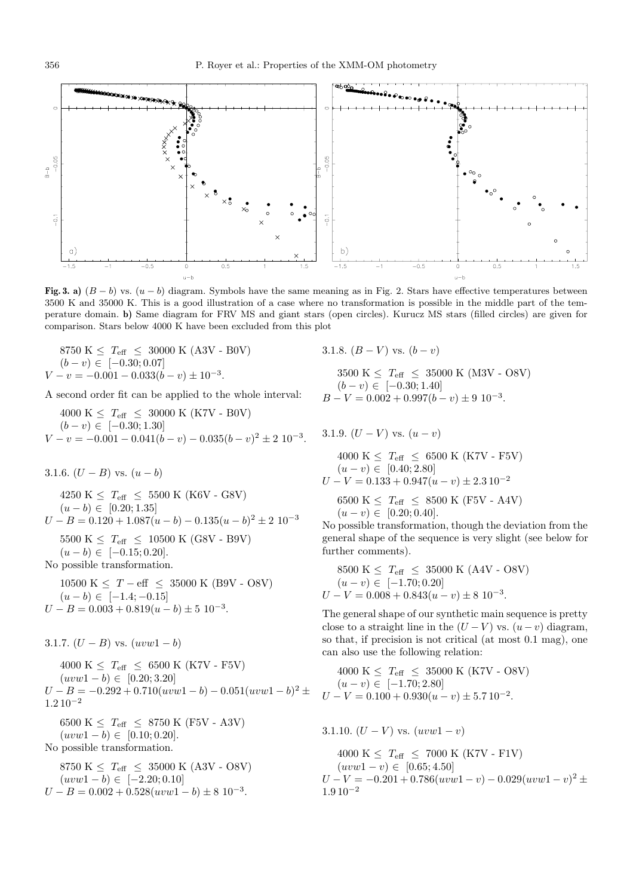

**Fig. 3. a)**  $(B - b)$  vs.  $(u - b)$  diagram. Symbols have the same meaning as in Fig. 2. Stars have effective temperatures between 3500 K and 35000 K. This is a good illustration of a case where no transformation is possible in the middle part of the temperature domain. **b)** Same diagram for FRV MS and giant stars (open circles). Kurucz MS stars (filled circles) are given for comparison. Stars below 4000 K have been excluded from this plot

 $8750 \text{ K} \leq T_{\text{eff}} \leq 30000 \text{ K} (\text{A}3\text{V} - \text{B}0\text{V})$  $(b - v) \in [-0.30; 0.07]$  $V - v = -0.001 - 0.033(b - v) \pm 10^{-3}$ .

A second order fit can be applied to the whole interval:

4000 K  $\leq T_{\text{eff}} \leq 30000 \text{ K} (\text{K7V - } B0V)$  $(b - v) \in [-0.30; 1.30]$  $V - v = -0.001 - 0.041(b - v) - 0.035(b - v)^{2} \pm 2 \cdot 10^{-3}.$ 

3.1.6.  $(U - B)$  vs.  $(u - b)$ 

4250 K  $\leq T_{\text{eff}} \leq 5500 \text{ K} (\text{K}6V - \text{GS}V)$  $(u - b) \in [0.20; 1.35]$  $U - B = 0.120 + 1.087(u - b) - 0.135(u - b)^{2} \pm 2.10^{-3}$ 5500 K  $\leq T_{\text{eff}} \leq 10500$  K (G8V - B9V)  $(u - b) \in [-0.15; 0.20].$ No possible transformation.

10500 K  $\leq T - \text{eff} \leq 35000 \text{ K}$  (B9V - O8V)  $(u - b) \in [-1.4; -0.15]$  $U - B = 0.003 + 0.819(u - b) \pm 5.10^{-3}.$ 

3.1.7.  $(U - B)$  vs.  $(uvw1 - b)$ 

4000 K  $\leq T_{\rm eff} \leq 6500$  K (K7V - F5V)  $(uvw1 - b) \in [0.20; 3.20]$  $U - B = -0.292 + 0.710(uvw1 - b) - 0.051(uvw1 - b)^2$  $1.2\,10^{-2}$ 6500 K  $\leq T_{\text{eff}} \leq 8750 \text{ K}$  (F5V - A3V)  $(uvw1 - b) \in [0.10; 0.20].$ No possible transformation. 8750 K  $\leq T_{\text{eff}} \leq 35000 \text{ K}$  (A3V - O8V)  $(uvw1 - b) \in [-2.20; 0.10]$  $U - B = 0.002 + 0.528(uvw1 - b) \pm 8.10^{-3}.$ 

3.1.8.  $(B - V)$  vs.  $(b - v)$ 

3500 K  $\leq T_{\text{eff}} \leq 35000 \text{ K} (\text{M3V - OSV})$  $(b - v) \in [-0.30; 1.40]$  $B - V = 0.002 + 0.997(b - v) \pm 9.10^{-3}$ .

3.1.9.  $(U - V)$  vs.  $(u - v)$ 

$$
4000 \text{ K} \leq T_{\text{eff}} \leq 6500 \text{ K (K7V - F5V)}
$$
  
\n
$$
(u - v) \in [0.40; 2.80]
$$
  
\n
$$
U - V = 0.133 + 0.947(u - v) \pm 2.3 10^{-2}
$$
  
\n
$$
6500 \text{ K} \leq T_{\text{eff}} \leq 8500 \text{ K (F5V - A4V)}
$$
  
\n
$$
(u - v) \in [0.20; 0.40].
$$

No possible transformation, though the deviation from the general shape of the sequence is very slight (see below for further comments).

$$
8500 \text{ K} \leq T_{\text{eff}} \leq 35000 \text{ K} (\text{A4V - OSV})
$$
  

$$
(u - v) \in [-1.70; 0.20]
$$
  

$$
U - V = 0.008 + 0.843(u - v) \pm 8 \cdot 10^{-3}.
$$

The general shape of our synthetic main sequence is pretty close to a straight line in the  $(U - V)$  vs.  $(u - v)$  diagram, so that, if precision is not critical (at most 0.1 mag), one can also use the following relation:

$$
4000 \text{ K} \leq T_{\text{eff}} \leq 35000 \text{ K} \ (\text{K7V - OSV})
$$
  
\n
$$
(u - v) \in [-1.70; 2.80]
$$
  
\n
$$
U - V = 0.100 + 0.930(u - v) \pm 5.710^{-2}.
$$

3.1.10.  $(U - V)$  vs.  $(uvw1 - v)$ 

$$
4000 \text{ K} \leq T_{\text{eff}} \leq 7000 \text{ K} (\text{K7V} - \text{F1V})
$$
  
\n
$$
(uvw1 - v) \in [0.65; 4.50]
$$
  
\n
$$
U - V = -0.201 + 0.786(uvw1 - v) - 0.029(uvw1 - v)^2 \pm 1.910^{-2}
$$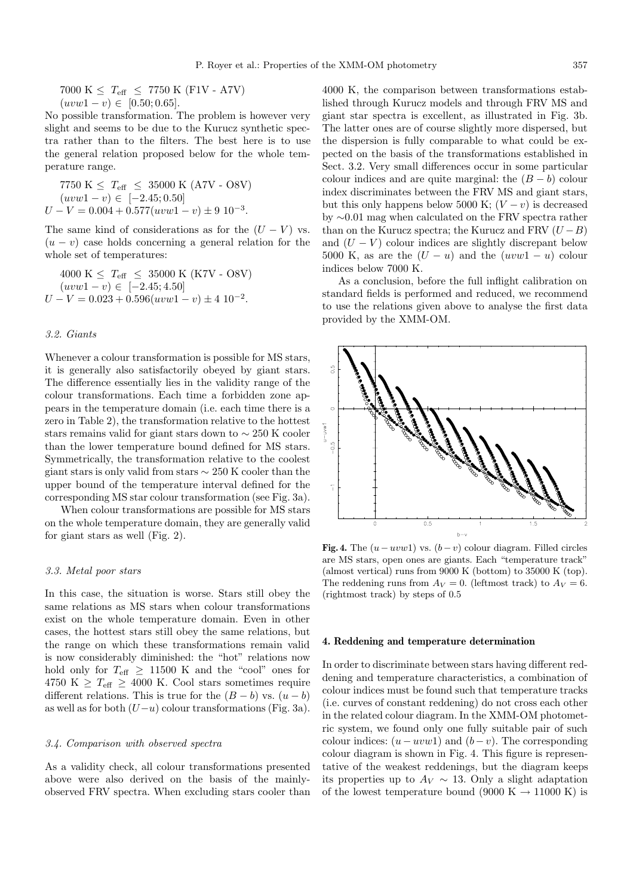7000 K  $\leq T_{\text{eff}} \leq 7750$  K (F1V - A7V)  $(uvw1 - v) \in [0.50; 0.65].$ 

No possible transformation. The problem is however very slight and seems to be due to the Kurucz synthetic spectra rather than to the filters. The best here is to use the general relation proposed below for the whole temperature range.

7750 K 
$$
\leq
$$
 T<sub>eff</sub>  $\leq$  35000 K (A7V - OSV)  
\n(*uvw*1 - v)  $\in$  [-2.45; 0.50]  
\n $U - V = 0.004 + 0.577(uvw1 - v) \pm 9 10^{-3}$ .

The same kind of considerations as for the  $(U - V)$  vs.  $(u - v)$  case holds concerning a general relation for the whole set of temperatures:

$$
4000 \text{ K} \leq T_{\text{eff}} \leq 35000 \text{ K} (\text{K7V - OSV})
$$
  
\n
$$
(uvw1 - v) \in [-2.45; 4.50]
$$
  
\n
$$
U - V = 0.023 + 0.596(uvw1 - v) \pm 4 \cdot 10^{-2}.
$$

# 3.2. Giants

Whenever a colour transformation is possible for MS stars, it is generally also satisfactorily obeyed by giant stars. The difference essentially lies in the validity range of the colour transformations. Each time a forbidden zone appears in the temperature domain (i.e. each time there is a zero in Table 2), the transformation relative to the hottest stars remains valid for giant stars down to ∼ 250 K cooler than the lower temperature bound defined for MS stars. Symmetrically, the transformation relative to the coolest giant stars is only valid from stars  $\sim$  250 K cooler than the upper bound of the temperature interval defined for the corresponding MS star colour transformation (see Fig. 3a).

When colour transformations are possible for MS stars on the whole temperature domain, they are generally valid for giant stars as well (Fig. 2).

#### 3.3. Metal poor stars

In this case, the situation is worse. Stars still obey the same relations as MS stars when colour transformations exist on the whole temperature domain. Even in other cases, the hottest stars still obey the same relations, but the range on which these transformations remain valid is now considerably diminished: the "hot" relations now hold only for  $T_{\text{eff}} \geq 11500 \text{ K}$  and the "cool" ones for 4750 K  $\geq T_{\text{eff}} \geq 4000$  K. Cool stars sometimes require different relations. This is true for the  $(B - b)$  vs.  $(u - b)$ as well as for both  $(U-u)$  colour transformations (Fig. 3a).

#### 3.4. Comparison with observed spectra

As a validity check, all colour transformations presented above were also derived on the basis of the mainlyobserved FRV spectra. When excluding stars cooler than 4000 K, the comparison between transformations established through Kurucz models and through FRV MS and giant star spectra is excellent, as illustrated in Fig. 3b. The latter ones are of course slightly more dispersed, but the dispersion is fully comparable to what could be expected on the basis of the transformations established in Sect. 3.2. Very small differences occur in some particular colour indices and are quite marginal: the  $(B - b)$  colour index discriminates between the FRV MS and giant stars, but this only happens below 5000 K;  $(V - v)$  is decreased by ∼0.01 mag when calculated on the FRV spectra rather than on the Kurucz spectra; the Kurucz and FRV  $(U - B)$ and  $(U - V)$  colour indices are slightly discrepant below 5000 K, as are the  $(U - u)$  and the  $(uvw1 - u)$  colour indices below 7000 K.

As a conclusion, before the full inflight calibration on standard fields is performed and reduced, we recommend to use the relations given above to analyse the first data provided by the XMM-OM.



**Fig. 4.** The  $(u - uvw1)$  vs.  $(b - v)$  colour diagram. Filled circles are MS stars, open ones are giants. Each "temperature track" (almost vertical) runs from 9000 K (bottom) to 35000 K (top). The reddening runs from  $A_V = 0$ . (leftmost track) to  $A_V = 6$ . (rightmost track) by steps of 0.5

#### **4. Reddening and temperature determination**

In order to discriminate between stars having different reddening and temperature characteristics, a combination of colour indices must be found such that temperature tracks (i.e. curves of constant reddening) do not cross each other in the related colour diagram. In the XMM-OM photometric system, we found only one fully suitable pair of such colour indices:  $(u - uvw1)$  and  $(b - v)$ . The corresponding colour diagram is shown in Fig. 4. This figure is representative of the weakest reddenings, but the diagram keeps its properties up to  $A_V \sim 13$ . Only a slight adaptation of the lowest temperature bound (9000 K  $\rightarrow$  11000 K) is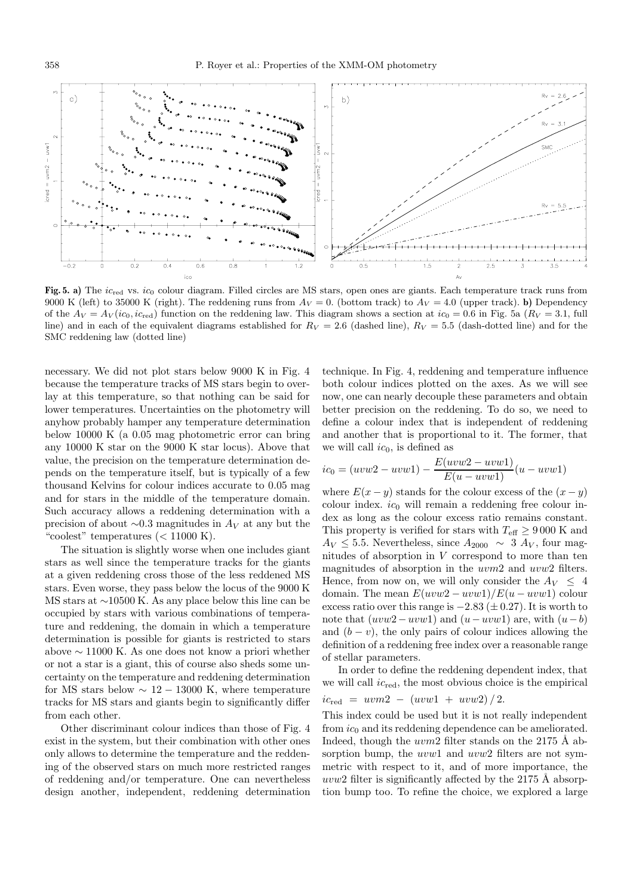

Fig. 5. a) The ic<sub>red</sub> vs. ic<sub>0</sub> colour diagram. Filled circles are MS stars, open ones are giants. Each temperature track runs from 9000 K (left) to 35000 K (right). The reddening runs from  $A_V = 0$ . (bottom track) to  $A_V = 4.0$  (upper track). **b**) Dependency of the  $Av = Av(ic_0, ic_{\text{red}})$  function on the reddening law. This diagram shows a section at  $ic_0 = 0.6$  in Fig. 5a  $(R_V = 3.1, \text{full})$ line) and in each of the equivalent diagrams established for  $R_V = 2.6$  (dashed line),  $R_V = 5.5$  (dash-dotted line) and for the SMC reddening law (dotted line)

necessary. We did not plot stars below 9000 K in Fig. 4 because the temperature tracks of MS stars begin to overlay at this temperature, so that nothing can be said for lower temperatures. Uncertainties on the photometry will anyhow probably hamper any temperature determination below 10000 K (a 0.05 mag photometric error can bring any 10000 K star on the 9000 K star locus). Above that value, the precision on the temperature determination depends on the temperature itself, but is typically of a few thousand Kelvins for colour indices accurate to 0.05 mag and for stars in the middle of the temperature domain. Such accuracy allows a reddening determination with a precision of about  $\sim$ 0.3 magnitudes in A<sub>V</sub> at any but the "coolest" temperatures  $(< 11000 \text{ K})$ .

The situation is slightly worse when one includes giant stars as well since the temperature tracks for the giants at a given reddening cross those of the less reddened MS stars. Even worse, they pass below the locus of the 9000 K MS stars at ∼10500 K. As any place below this line can be occupied by stars with various combinations of temperature and reddening, the domain in which a temperature determination is possible for giants is restricted to stars above ∼ 11000 K. As one does not know a priori whether or not a star is a giant, this of course also sheds some uncertainty on the temperature and reddening determination for MS stars below  $\sim 12 - 13000$  K, where temperature tracks for MS stars and giants begin to significantly differ from each other.

Other discriminant colour indices than those of Fig. 4 exist in the system, but their combination with other ones only allows to determine the temperature and the reddening of the observed stars on much more restricted ranges of reddening and/or temperature. One can nevertheless design another, independent, reddening determination technique. In Fig. 4, reddening and temperature influence both colour indices plotted on the axes. As we will see now, one can nearly decouple these parameters and obtain better precision on the reddening. To do so, we need to define a colour index that is independent of reddening and another that is proportional to it. The former, that we will call  $ic_0$ , is defined as

$$
ic_0 = (uvw2 - uvw1) - \frac{E(uvw2 - uvw1)}{E(u - uvw1)}(u - uvw1)
$$

where  $E(x - y)$  stands for the colour excess of the  $(x - y)$ colour index.  $ic_0$  will remain a reddening free colour index as long as the colour excess ratio remains constant. This property is verified for stars with  $T_{\text{eff}} \geq 9000 \text{ K}$  and  $A_V \leq 5.5$ . Nevertheless, since  $A_{2000} \sim 3 A_V$ , four magnitudes of absorption in  $V$  correspond to more than ten magnitudes of absorption in the uvm2 and uvw2 filters. Hence, from now on, we will only consider the  $A_V \leq 4$ domain. The mean  $E(uvw2 - uvw1)/E(u - uvw1)$  colour excess ratio over this range is  $-2.83 \ (\pm 0.27)$ . It is worth to note that  $(uvw2-uvw1)$  and  $(u-uvw1)$  are, with  $(u-b)$ and  $(b - v)$ , the only pairs of colour indices allowing the definition of a reddening free index over a reasonable range of stellar parameters.

In order to define the reddening dependent index, that we will call  $ic_{\text{red}}$ , the most obvious choice is the empirical

$$
ic_{\text{red}} = uvm2 - (uvw1 + uvw2)/2.
$$

This index could be used but it is not really independent from  $ic_0$  and its reddening dependence can be ameliorated. Indeed, though the  $uvw2$  filter stands on the 2175 Å absorption bump, the *uvw*1 and *uvw2* filters are not symmetric with respect to it, and of more importance, the uvw2 filter is significantly affected by the 2175 Å absorption bump too. To refine the choice, we explored a large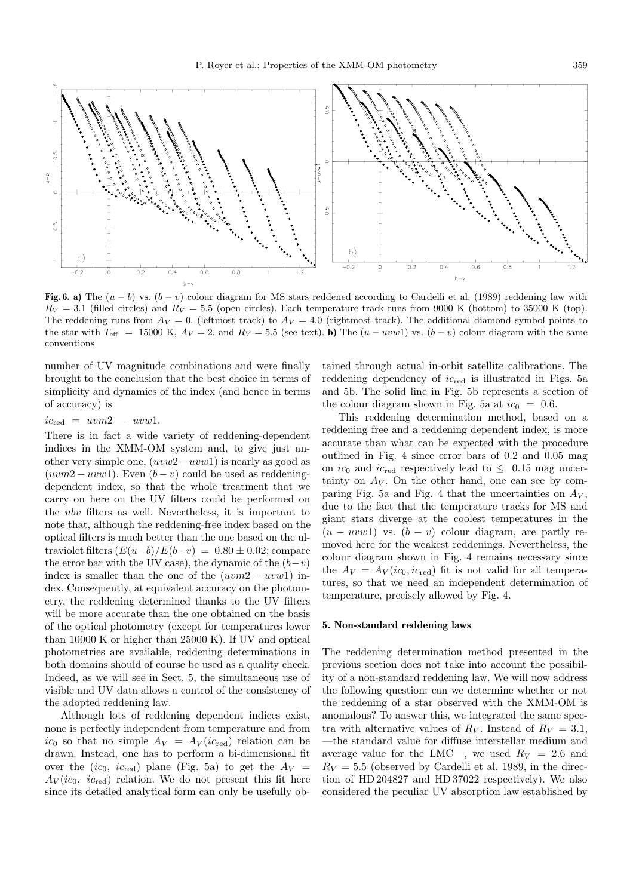

**Fig. 6. a)** The  $(u - b)$  vs.  $(b - v)$  colour diagram for MS stars reddened according to Cardelli et al. (1989) reddening law with  $R_V = 3.1$  (filled circles) and  $R_V = 5.5$  (open circles). Each temperature track runs from 9000 K (bottom) to 35000 K (top). The reddening runs from  $A_V = 0$ . (leftmost track) to  $A_V = 4.0$  (rightmost track). The additional diamond symbol points to the star with  $T_{\text{eff}}$  = 15000 K,  $A_V = 2$ . and  $R_V = 5.5$  (see text). **b**) The  $(u - uvw1)$  vs.  $(b - v)$  colour diagram with the same conventions

number of UV magnitude combinations and were finally brought to the conclusion that the best choice in terms of simplicity and dynamics of the index (and hence in terms of accuracy) is

 $ic_{\text{red}} = uvm2 - uvw1.$ 

There is in fact a wide variety of reddening-dependent indices in the XMM-OM system and, to give just another very simple one,  $(uvw2-uvw1)$  is nearly as good as  $(uvm2 - uvw1)$ . Even  $(b - v)$  could be used as reddeningdependent index, so that the whole treatment that we carry on here on the UV filters could be performed on the ubv filters as well. Nevertheless, it is important to note that, although the reddening-free index based on the optical filters is much better than the one based on the ultraviolet filters  $(E(u-b)/E(b-v)=0.80 \pm 0.02;$  compare the error bar with the UV case), the dynamic of the  $(b-v)$ index is smaller than the one of the  $(uvm2 - uvw1)$  index. Consequently, at equivalent accuracy on the photometry, the reddening determined thanks to the UV filters will be more accurate than the one obtained on the basis of the optical photometry (except for temperatures lower than 10000 K or higher than 25000 K). If UV and optical photometries are available, reddening determinations in both domains should of course be used as a quality check. Indeed, as we will see in Sect. 5, the simultaneous use of visible and UV data allows a control of the consistency of the adopted reddening law.

Although lots of reddening dependent indices exist, none is perfectly independent from temperature and from  $ic_0$  so that no simple  $A_V = A_V (ic_{\text{red}})$  relation can be drawn. Instead, one has to perform a bi-dimensional fit over the  $(ic_0, ic_{\text{red}})$  plane (Fig. 5a) to get the  $A_V =$  $A_V(ic_0, ic_{red})$  relation. We do not present this fit here since its detailed analytical form can only be usefully obtained through actual in-orbit satellite calibrations. The reddening dependency of  $ic_{\text{red}}$  is illustrated in Figs. 5a and 5b. The solid line in Fig. 5b represents a section of the colour diagram shown in Fig. 5a at  $ic_0 = 0.6$ .

This reddening determination method, based on a reddening free and a reddening dependent index, is more accurate than what can be expected with the procedure outlined in Fig. 4 since error bars of 0.2 and 0.05 mag on  $ic_0$  and  $ic_{red}$  respectively lead to  $\leq$  0.15 mag uncertainty on  $A_V$ . On the other hand, one can see by comparing Fig. 5a and Fig. 4 that the uncertainties on  $A_V$ , due to the fact that the temperature tracks for MS and giant stars diverge at the coolest temperatures in the  $(u - uvw1)$  vs.  $(b - v)$  colour diagram, are partly removed here for the weakest reddenings. Nevertheless, the colour diagram shown in Fig. 4 remains necessary since the  $A_V = A_V (ic_0, ic_{\text{red}})$  fit is not valid for all temperatures, so that we need an independent determination of temperature, precisely allowed by Fig. 4.

# **5. Non-standard reddening laws**

The reddening determination method presented in the previous section does not take into account the possibility of a non-standard reddening law. We will now address the following question: can we determine whether or not the reddening of a star observed with the XMM-OM is anomalous? To answer this, we integrated the same spectra with alternative values of  $R_V$ . Instead of  $R_V = 3.1$ , —the standard value for diffuse interstellar medium and average value for the LMC—, we used  $R_V = 2.6$  and  $R_V = 5.5$  (observed by Cardelli et al. 1989, in the direction of HD 204827 and HD 37022 respectively). We also considered the peculiar UV absorption law established by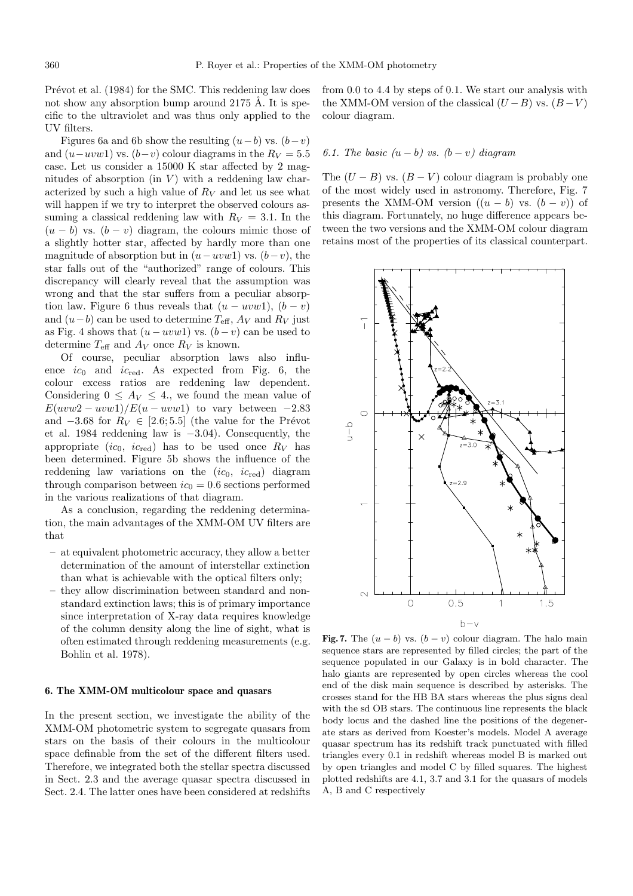Prévot et al. (1984) for the SMC. This reddening law does not show any absorption bump around  $2175 \text{ Å}$ . It is specific to the ultraviolet and was thus only applied to the UV filters.

Figures 6a and 6b show the resulting  $(u-b)$  vs.  $(b-v)$ and  $(u-uvw1)$  vs.  $(b-v)$  colour diagrams in the  $R_V = 5.5$ case. Let us consider a 15000 K star affected by 2 magnitudes of absorption (in  $V$ ) with a reddening law characterized by such a high value of  $R_V$  and let us see what will happen if we try to interpret the observed colours assuming a classical reddening law with  $R_V = 3.1$ . In the  $(u - b)$  vs.  $(b - v)$  diagram, the colours mimic those of a slightly hotter star, affected by hardly more than one magnitude of absorption but in  $(u-uvw1)$  vs.  $(b-v)$ , the star falls out of the "authorized" range of colours. This discrepancy will clearly reveal that the assumption was wrong and that the star suffers from a peculiar absorption law. Figure 6 thus reveals that  $(u - uvw1)$ ,  $(b - v)$ and  $(u-b)$  can be used to determine  $T_{\text{eff}}$ ,  $A_V$  and  $R_V$  just as Fig. 4 shows that  $(u - uvw1)$  vs.  $(b - v)$  can be used to determine  $T_{\text{eff}}$  and  $A_V$  once  $R_V$  is known.

Of course, peculiar absorption laws also influence  $ic_0$  and  $ic_{\text{red}}$ . As expected from Fig. 6, the colour excess ratios are reddening law dependent. Considering  $0 \leq A_V \leq 4$ ., we found the mean value of  $E(uvw2 - uvw1)/E(u - uvw1)$  to vary between -2.83 and  $-3.68$  for  $R_V \in [2.6; 5.5]$  (the value for the Prévot et al. 1984 reddening law is −3.04). Consequently, the appropriate (ic<sub>0</sub>, ic<sub>red</sub>) has to be used once  $R_V$  has been determined. Figure 5b shows the influence of the reddening law variations on the  $(ic_0, ic_{\text{red}})$  diagram through comparison between  $ic_0 = 0.6$  sections performed in the various realizations of that diagram.

As a conclusion, regarding the reddening determination, the main advantages of the XMM-OM UV filters are that

- **–** at equivalent photometric accuracy, they allow a better determination of the amount of interstellar extinction than what is achievable with the optical filters only;
- **–** they allow discrimination between standard and nonstandard extinction laws; this is of primary importance since interpretation of X-ray data requires knowledge of the column density along the line of sight, what is often estimated through reddening measurements (e.g. Bohlin et al. 1978).

# **6. The XMM-OM multicolour space and quasars**

In the present section, we investigate the ability of the XMM-OM photometric system to segregate quasars from stars on the basis of their colours in the multicolour space definable from the set of the different filters used. Therefore, we integrated both the stellar spectra discussed in Sect. 2.3 and the average quasar spectra discussed in Sect. 2.4. The latter ones have been considered at redshifts

from 0.0 to 4.4 by steps of 0.1. We start our analysis with the XMM-OM version of the classical  $(U - B)$  vs.  $(B - V)$ colour diagram.

# 6.1. The basic  $(u - b)$  vs.  $(b - v)$  diagram

The  $(U - B)$  vs.  $(B - V)$  colour diagram is probably one of the most widely used in astronomy. Therefore, Fig. 7 presents the XMM-OM version  $((u - b)$  vs.  $(b - v))$  of this diagram. Fortunately, no huge difference appears between the two versions and the XMM-OM colour diagram retains most of the properties of its classical counterpart.



**Fig. 7.** The  $(u - b)$  vs.  $(b - v)$  colour diagram. The halo main sequence stars are represented by filled circles; the part of the sequence populated in our Galaxy is in bold character. The halo giants are represented by open circles whereas the cool end of the disk main sequence is described by asterisks. The crosses stand for the HB BA stars whereas the plus signs deal with the sd OB stars. The continuous line represents the black body locus and the dashed line the positions of the degenerate stars as derived from Koester's models. Model A average quasar spectrum has its redshift track punctuated with filled triangles every 0.1 in redshift whereas model B is marked out by open triangles and model C by filled squares. The highest plotted redshifts are 4.1, 3.7 and 3.1 for the quasars of models A, B and C respectively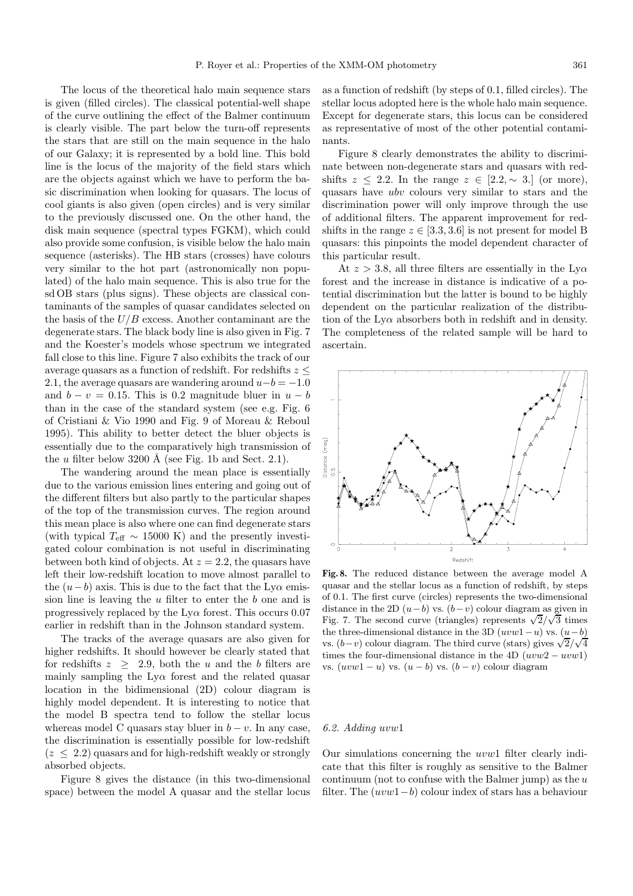The locus of the theoretical halo main sequence stars is given (filled circles). The classical potential-well shape of the curve outlining the effect of the Balmer continuum is clearly visible. The part below the turn-off represents the stars that are still on the main sequence in the halo of our Galaxy; it is represented by a bold line. This bold line is the locus of the majority of the field stars which are the objects against which we have to perform the basic discrimination when looking for quasars. The locus of cool giants is also given (open circles) and is very similar to the previously discussed one. On the other hand, the disk main sequence (spectral types FGKM), which could also provide some confusion, is visible below the halo main sequence (asterisks). The HB stars (crosses) have colours very similar to the hot part (astronomically non populated) of the halo main sequence. This is also true for the sd OB stars (plus signs). These objects are classical contaminants of the samples of quasar candidates selected on the basis of the  $U/B$  excess. Another contaminant are the degenerate stars. The black body line is also given in Fig. 7 and the Koester's models whose spectrum we integrated fall close to this line. Figure 7 also exhibits the track of our average quasars as a function of redshift. For redshifts  $z \leq$ 2.1, the average quasars are wandering around  $u-b = -1.0$ and  $b - v = 0.15$ . This is 0.2 magnitude bluer in  $u - b$ than in the case of the standard system (see e.g. Fig. 6 of Cristiani & Vio 1990 and Fig. 9 of Moreau & Reboul 1995). This ability to better detect the bluer objects is essentially due to the comparatively high transmission of the u filter below 3200 Å (see Fig. 1b and Sect. 2.1).

The wandering around the mean place is essentially due to the various emission lines entering and going out of the different filters but also partly to the particular shapes of the top of the transmission curves. The region around this mean place is also where one can find degenerate stars (with typical  $T_{\text{eff}} \sim 15000 \text{ K}$ ) and the presently investigated colour combination is not useful in discriminating between both kind of objects. At  $z = 2.2$ , the quasars have left their low-redshift location to move almost parallel to the  $(u-b)$  axis. This is due to the fact that the Ly $\alpha$  emission line is leaving the  $u$  filter to enter the  $b$  one and is progressively replaced by the  $L_y\alpha$  forest. This occurs 0.07 earlier in redshift than in the Johnson standard system.

The tracks of the average quasars are also given for higher redshifts. It should however be clearly stated that for redshifts  $z \geq 2.9$ , both the u and the b filters are mainly sampling the  $Ly\alpha$  forest and the related quasar location in the bidimensional (2D) colour diagram is highly model dependent. It is interesting to notice that the model B spectra tend to follow the stellar locus whereas model C quasars stay bluer in  $b - v$ . In any case, the discrimination is essentially possible for low-redshift  $(z < 2.2)$  quasars and for high-redshift weakly or strongly absorbed objects.

Figure 8 gives the distance (in this two-dimensional space) between the model A quasar and the stellar locus as a function of redshift (by steps of 0.1, filled circles). The stellar locus adopted here is the whole halo main sequence. Except for degenerate stars, this locus can be considered as representative of most of the other potential contaminants.

Figure 8 clearly demonstrates the ability to discriminate between non-degenerate stars and quasars with redshifts  $z \leq 2.2$ . In the range  $z \in [2.2, \sim 3.1]$  (or more), quasars have ubv colours very similar to stars and the discrimination power will only improve through the use of additional filters. The apparent improvement for redshifts in the range  $z \in [3.3, 3.6]$  is not present for model B quasars: this pinpoints the model dependent character of this particular result.

At  $z > 3.8$ , all three filters are essentially in the Ly $\alpha$ forest and the increase in distance is indicative of a potential discrimination but the latter is bound to be highly dependent on the particular realization of the distribution of the  $Ly\alpha$  absorbers both in redshift and in density. The completeness of the related sample will be hard to ascertain.



**Fig. 8.** The reduced distance between the average model A quasar and the stellar locus as a function of redshift, by steps of 0.1. The first curve (circles) represents the two-dimensional distance in the 2D  $(u-b)$  vs.  $(b-v)$  colour diagram as given in Fig. 7. The second curve (triangles) represents  $\sqrt{2}/\sqrt{3}$  times the three-dimensional distance in the 3D  $(uvw1-u)$  vs.  $(u-b)$ vs.  $(b-v)$  colour diagram. The third curve (stars) gives  $\sqrt{2}/\sqrt{4}$ times the four-dimensional distance in the 4D  $(uvw2 - uvw1)$ vs.  $(uvw1-u)$  vs.  $(u-b)$  vs.  $(b-v)$  colour diagram

#### 6.2. Adding uvw1

Our simulations concerning the uvw1 filter clearly indicate that this filter is roughly as sensitive to the Balmer continuum (not to confuse with the Balmer jump) as the  $u$ filter. The  $(uvw1-b)$  colour index of stars has a behaviour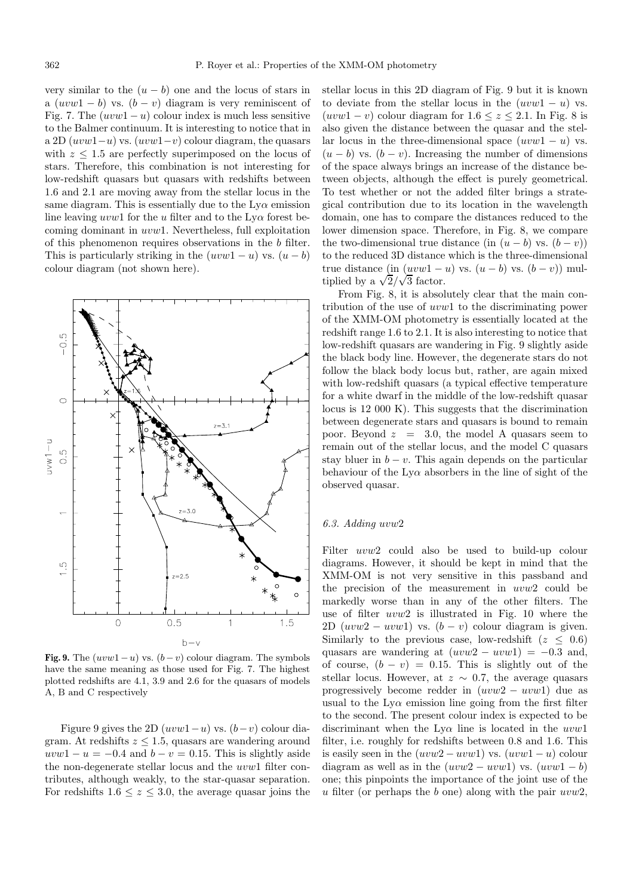very similar to the  $(u - b)$  one and the locus of stars in a  $(uvw1 - b)$  vs.  $(b - v)$  diagram is very reminiscent of Fig. 7. The  $(uvw1-u)$  colour index is much less sensitive to the Balmer continuum. It is interesting to notice that in a 2D  $(uvw1-u)$  vs.  $(uvw1-v)$  colour diagram, the quasars with  $z \leq 1.5$  are perfectly superimposed on the locus of stars. Therefore, this combination is not interesting for low-redshift quasars but quasars with redshifts between 1.6 and 2.1 are moving away from the stellar locus in the same diagram. This is essentially due to the  $Ly\alpha$  emission line leaving uvw1 for the u filter and to the  $Ly\alpha$  forest becoming dominant in uvw1. Nevertheless, full exploitation of this phenomenon requires observations in the b filter. This is particularly striking in the  $(uvw1-u)$  vs.  $(u-b)$ colour diagram (not shown here).



**Fig. 9.** The  $(uvw1-u)$  vs.  $(b-v)$  colour diagram. The symbols have the same meaning as those used for Fig. 7. The highest plotted redshifts are 4.1, 3.9 and 2.6 for the quasars of models A, B and C respectively

Figure 9 gives the 2D  $(uvw1-u)$  vs.  $(b-v)$  colour diagram. At redshifts  $z \leq 1.5$ , quasars are wandering around  $uvw1 - u = -0.4$  and  $b - v = 0.15$ . This is slightly aside the non-degenerate stellar locus and the uvw1 filter contributes, although weakly, to the star-quasar separation. For redshifts  $1.6 \le z \le 3.0$ , the average quasar joins the stellar locus in this 2D diagram of Fig. 9 but it is known to deviate from the stellar locus in the  $(uvw1 - u)$  vs.  $(uvw1 - v)$  colour diagram for  $1.6 \le z \le 2.1$ . In Fig. 8 is also given the distance between the quasar and the stellar locus in the three-dimensional space  $(uvw1 - u)$  vs.  $(u - b)$  vs.  $(b - v)$ . Increasing the number of dimensions of the space always brings an increase of the distance between objects, although the effect is purely geometrical. To test whether or not the added filter brings a strategical contribution due to its location in the wavelength domain, one has to compare the distances reduced to the lower dimension space. Therefore, in Fig. 8, we compare the two-dimensional true distance (in  $(u - b)$  vs.  $(b - v)$ ) to the reduced 3D distance which is the three-dimensional true distance (in  $(uvw1-u)$  vs.  $(u-b)$  vs.  $(b-v)$ ) multiplied by a  $\sqrt{2}/\sqrt{3}$  factor.

From Fig. 8, it is absolutely clear that the main contribution of the use of uvw1 to the discriminating power of the XMM-OM photometry is essentially located at the redshift range 1.6 to 2.1. It is also interesting to notice that low-redshift quasars are wandering in Fig. 9 slightly aside the black body line. However, the degenerate stars do not follow the black body locus but, rather, are again mixed with low-redshift quasars (a typical effective temperature for a white dwarf in the middle of the low-redshift quasar locus is 12 000 K). This suggests that the discrimination between degenerate stars and quasars is bound to remain poor. Beyond  $z = 3.0$ , the model A quasars seem to remain out of the stellar locus, and the model C quasars stay bluer in  $b - v$ . This again depends on the particular behaviour of the  $L_y\alpha$  absorbers in the line of sight of the observed quasar.

# 6.3. Adding uvw2

Filter uvw2 could also be used to build-up colour diagrams. However, it should be kept in mind that the XMM-OM is not very sensitive in this passband and the precision of the measurement in uvw2 could be markedly worse than in any of the other filters. The use of filter uvw2 is illustrated in Fig. 10 where the 2D  $(uvw2 - uvw1)$  vs.  $(b - v)$  colour diagram is given. Similarly to the previous case, low-redshift ( $z \leq 0.6$ ) quasars are wandering at  $(uvw2 - uvw1) = -0.3$  and, of course,  $(b - v) = 0.15$ . This is slightly out of the stellar locus. However, at  $z \sim 0.7$ , the average quasars progressively become redder in  $(uvw2 - uvw1)$  due as usual to the  $Ly\alpha$  emission line going from the first filter to the second. The present colour index is expected to be discriminant when the  $Lv\alpha$  line is located in the  $uvw1$ filter, i.e. roughly for redshifts between 0.8 and 1.6. This is easily seen in the  $(uvw2 - uvw1)$  vs.  $(uvw1 - u)$  colour diagram as well as in the  $(uvw2 - uvw1)$  vs.  $(uvw1 - b)$ one; this pinpoints the importance of the joint use of the u filter (or perhaps the b one) along with the pair  $uvw2$ ,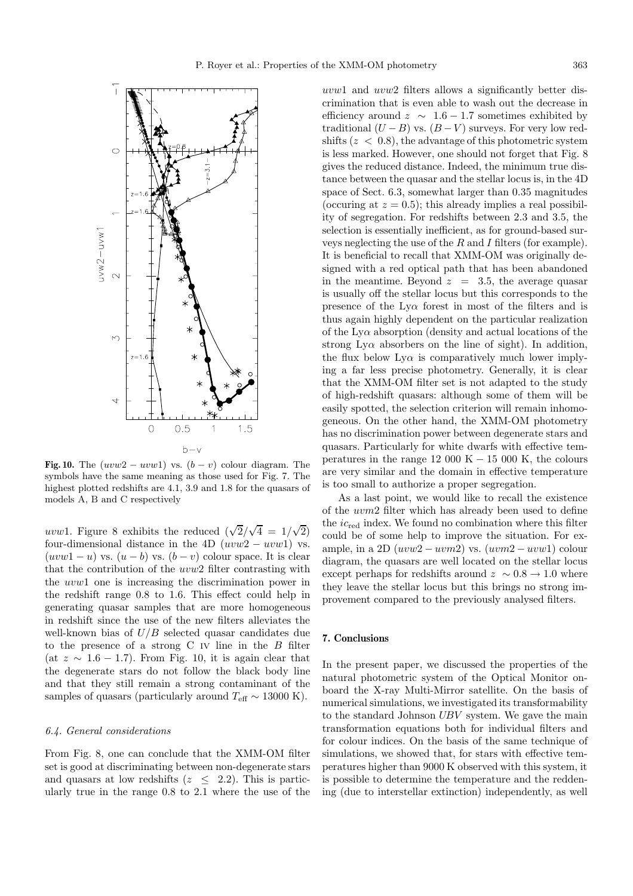

**Fig. 10.** The  $(uvw2 - uvw1)$  vs.  $(b - v)$  colour diagram. The symbols have the same meaning as those used for Fig. 7. The highest plotted redshifts are 4.1, 3.9 and 1.8 for the quasars of models A, B and C respectively

uvw1. Figure 8 exhibits the reduced  $(\sqrt{2}/\sqrt{4}) = 1/\sqrt{2}$ four-dimensional distance in the 4D  $(uvw2 - uvw1)$  vs.  $(uvw1-u)$  vs.  $(u-b)$  vs.  $(b-v)$  colour space. It is clear that the contribution of the uvw2 filter contrasting with the uvw1 one is increasing the discrimination power in the redshift range 0.8 to 1.6. This effect could help in generating quasar samples that are more homogeneous in redshift since the use of the new filters alleviates the well-known bias of  $U/B$  selected quasar candidates due to the presence of a strong  $C$  iv line in the  $B$  filter (at  $z \sim 1.6 - 1.7$ ). From Fig. 10, it is again clear that the degenerate stars do not follow the black body line and that they still remain a strong contaminant of the samples of quasars (particularly around  $T_{\text{eff}} \sim 13000 \text{ K}$ ).

#### 6.4. General considerations

From Fig. 8, one can conclude that the XMM-OM filter set is good at discriminating between non-degenerate stars and quasars at low redshifts ( $z \leq 2.2$ ). This is particularly true in the range 0.8 to 2.1 where the use of the uvw1 and uvw2 filters allows a significantly better discrimination that is even able to wash out the decrease in efficiency around  $z \sim 1.6 - 1.7$  sometimes exhibited by traditional  $(U - B)$  vs.  $(B - V)$  surveys. For very low redshifts  $(z < 0.8)$ , the advantage of this photometric system is less marked. However, one should not forget that Fig. 8 gives the reduced distance. Indeed, the minimum true distance between the quasar and the stellar locus is, in the 4D space of Sect. 6.3, somewhat larger than 0.35 magnitudes (occuring at  $z = 0.5$ ); this already implies a real possibility of segregation. For redshifts between 2.3 and 3.5, the selection is essentially inefficient, as for ground-based surveys neglecting the use of the  $R$  and  $I$  filters (for example). It is beneficial to recall that XMM-OM was originally designed with a red optical path that has been abandoned in the meantime. Beyond  $z = 3.5$ , the average quasar is usually off the stellar locus but this corresponds to the presence of the  $Ly\alpha$  forest in most of the filters and is thus again highly dependent on the particular realization of the  $Ly\alpha$  absorption (density and actual locations of the strong Ly $\alpha$  absorbers on the line of sight). In addition, the flux below  $Ly\alpha$  is comparatively much lower implying a far less precise photometry. Generally, it is clear that the XMM-OM filter set is not adapted to the study of high-redshift quasars: although some of them will be easily spotted, the selection criterion will remain inhomogeneous. On the other hand, the XMM-OM photometry has no discrimination power between degenerate stars and quasars. Particularly for white dwarfs with effective temperatures in the range 12 000 K  $-$  15 000 K, the colours are very similar and the domain in effective temperature is too small to authorize a proper segregation.

As a last point, we would like to recall the existence of the uvm2 filter which has already been used to define the  $ic_{\text{red}}$  index. We found no combination where this filter could be of some help to improve the situation. For example, in a 2D  $(uvw2 - uvm2)$  vs.  $(uvm2 - uvw1)$  colour diagram, the quasars are well located on the stellar locus except perhaps for redshifts around  $z \sim 0.8 \rightarrow 1.0$  where they leave the stellar locus but this brings no strong improvement compared to the previously analysed filters.

#### **7. Conclusions**

In the present paper, we discussed the properties of the natural photometric system of the Optical Monitor onboard the X-ray Multi-Mirror satellite. On the basis of numerical simulations, we investigated its transformability to the standard Johnson UBV system. We gave the main transformation equations both for individual filters and for colour indices. On the basis of the same technique of simulations, we showed that, for stars with effective temperatures higher than 9000 K observed with this system, it is possible to determine the temperature and the reddening (due to interstellar extinction) independently, as well